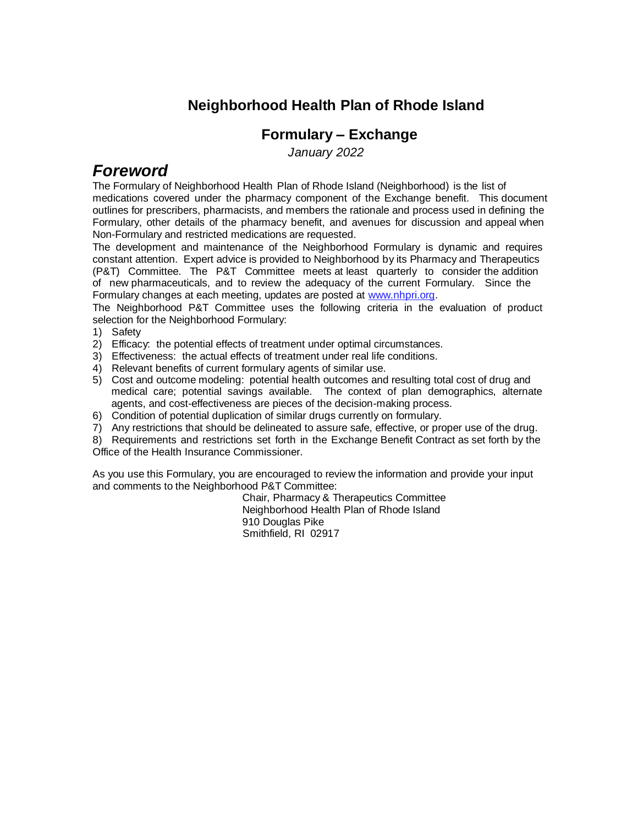#### **Neighborhood Health Plan of Rhode Island**

#### **Formulary – Exchange**

 *January 2022* 

#### *Foreword*

The Formulary of Neighborhood Health Plan of Rhode Island (Neighborhood) is the list of medications covered under the pharmacy component of the Exchange benefit. This document outlines for prescribers, pharmacists, and members the rationale and process used in defining the Formulary, other details of the pharmacy benefit, and avenues for discussion and appeal when Non-Formulary and restricted medications are requested.

The development and maintenance of the Neighborhood Formulary is dynamic and requires constant attention. Expert advice is provided to Neighborhood by its Pharmacy and Therapeutics (P&T) Committee. The P&T Committee meets at least quarterly to consider the addition of new pharmaceuticals, and to review the adequacy of the current Formulary. Since the Formulary changes at each meeting, updates are posted at [www.nhpri.org.](http://www.nhpri.org/) 

The Neighborhood P&T Committee uses the following criteria in the evaluation of product selection for the Neighborhood Formulary:

- 1) Safety
- 2) Efficacy: the potential effects of treatment under optimal circumstances.
- 3) Effectiveness: the actual effects of treatment under real life conditions.
- 4) Relevant benefits of current formulary agents of similar use.
- 5) Cost and outcome modeling: potential health outcomes and resulting total cost of drug and medical care; potential savings available. The context of plan demographics, alternate agents, and cost-effectiveness are pieces of the decision-making process.
- 6) Condition of potential duplication of similar drugs currently on formulary.
- 7) Any restrictions that should be delineated to assure safe, effective, or proper use of the drug.

8) Requirements and restrictions set forth in the Exchange Benefit Contract as set forth by the Office of the Health Insurance Commissioner.

As you use this Formulary, you are encouraged to review the information and provide your input and comments to the Neighborhood P&T Committee:

Chair, Pharmacy & Therapeutics Committee Neighborhood Health Plan of Rhode Island 910 Douglas Pike Smithfield, RI 02917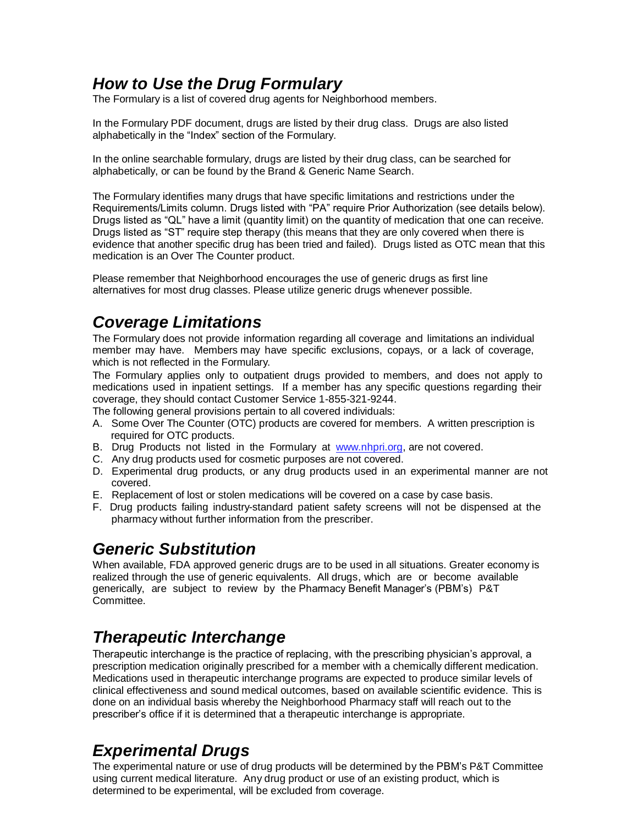# *How to Use the Drug Formulary*

The Formulary is a list of covered drug agents for Neighborhood members.

In the Formulary PDF document, drugs are listed by their drug class. Drugs are also listed alphabetically in the "Index" section of the Formulary.

In the online searchable formulary, drugs are listed by their drug class, can be searched for alphabetically, or can be found by the Brand & Generic Name Search.

The Formulary identifies many drugs that have specific limitations and restrictions under the Requirements/Limits column. Drugs listed with "PA" require Prior Authorization (see details below). Drugs listed as "QL" have a limit (quantity limit) on the quantity of medication that one can receive. Drugs listed as "ST" require step therapy (this means that they are only covered when there is evidence that another specific drug has been tried and failed). Drugs listed as OTC mean that this medication is an Over The Counter product.

Please remember that Neighborhood encourages the use of generic drugs as first line alternatives for most drug classes. Please utilize generic drugs whenever possible.

# *Coverage Limitations*

The Formulary does not provide information regarding all coverage and limitations an individual member may have. Members may have specific exclusions, copays, or a lack of coverage, which is not reflected in the Formulary.

The Formulary applies only to outpatient drugs provided to members, and does not apply to medications used in inpatient settings. If a member has any specific questions regarding their coverage, they should contact Customer Service 1-855-321-9244.

The following general provisions pertain to all covered individuals:

- A. Some Over The Counter (OTC) products are covered for members. A written prescription is required for OTC products.
- B. Drug Products not listed in the Formulary at [www.nhpri.org,](http://www.nhpri.org/) are not covered.
- C. Any drug products used for cosmetic purposes are not covered.
- D. Experimental drug products, or any drug products used in an experimental manner are not covered.
- E. Replacement of lost or stolen medications will be covered on a case by case basis.
- F. Drug products failing industry-standard patient safety screens will not be dispensed at the pharmacy without further information from the prescriber.

#### *Generic Substitution*

When available, FDA approved generic drugs are to be used in all situations. Greater economy is realized through the use of generic equivalents. All drugs, which are or become available generically, are subject to review by the Pharmacy Benefit Manager's (PBM's) P&T Committee.

### *Therapeutic Interchange*

Therapeutic interchange is the practice of replacing, with the prescribing physician's approval, a prescription medication originally prescribed for a member with a chemically different medication. Medications used in therapeutic interchange programs are expected to produce similar levels of clinical effectiveness and sound medical outcomes, based on available scientific evidence. This is done on an individual basis whereby the Neighborhood Pharmacy staff will reach out to the prescriber's office if it is determined that a therapeutic interchange is appropriate.

### *Experimental Drugs*

The experimental nature or use of drug products will be determined by the PBM's P&T Committee using current medical literature. Any drug product or use of an existing product, which is determined to be experimental, will be excluded from coverage.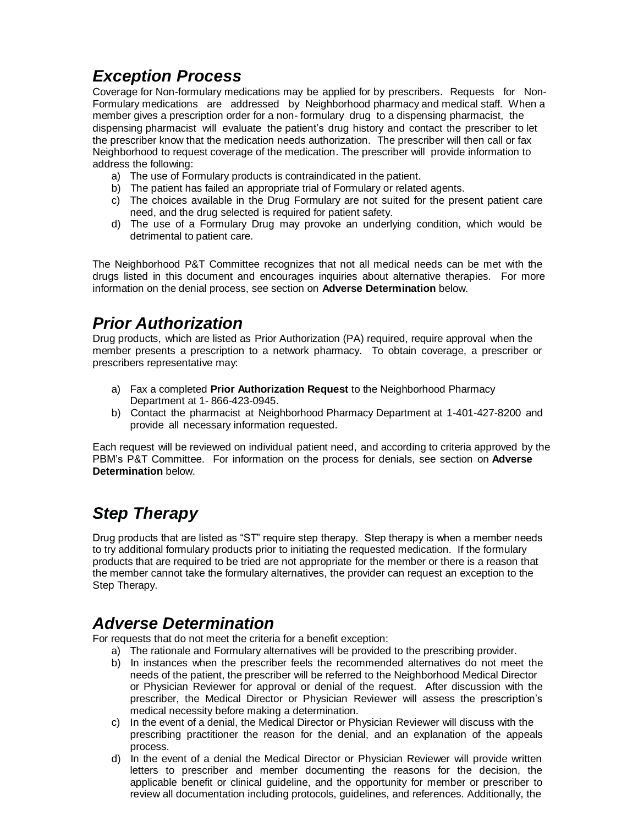# *Exception Process*

Coverage for Non-formulary medications may be applied for by prescribers. Requests for Non-Formulary medications are addressed by Neighborhood pharmacy and medical staff. When a member gives a prescription order for a non- formulary drug to a dispensing pharmacist, the dispensing pharmacist will evaluate the patient's drug history and contact the prescriber to let the prescriber know that the medication needs authorization. The prescriber will then call or fax Neighborhood to request coverage of the medication. The prescriber will provide information to address the following:

- a) The use of Formulary products is contraindicated in the patient.
- b) The patient has failed an appropriate trial of Formulary or related agents.
- c) The choices available in the Drug Formulary are not suited for the present patient care need, and the drug selected is required for patient safety.
- d) The use of a Formulary Drug may provoke an underlying condition, which would be detrimental to patient care.

The Neighborhood P&T Committee recognizes that not all medical needs can be met with the drugs listed in this document and encourages inquiries about alternative therapies. For more information on the denial process, see section on **Adverse Determination** below.

# *Prior Authorization*

Drug products, which are listed as Prior Authorization (PA) required, require approval when the member presents a prescription to a network pharmacy. To obtain coverage, a prescriber or prescribers representative may:

- a) Fax a completed **Prior Authorization Request** to the Neighborhood Pharmacy Department at 1- 866-423-0945.
- b) Contact the pharmacist at Neighborhood Pharmacy Department at 1-401-427-8200 and provide all necessary information requested.

Each request will be reviewed on individual patient need, and according to criteria approved by the PBM's P&T Committee. For information on the process for denials, see section on **Adverse Determination** below.

# *Step Therapy*

Drug products that are listed as "ST" require step therapy. Step therapy is when a member needs to try additional formulary products prior to initiating the requested medication. If the formulary products that are required to be tried are not appropriate for the member or there is a reason that the member cannot take the formulary alternatives, the provider can request an exception to the Step Therapy.

#### *Adverse Determination*

For requests that do not meet the criteria for a benefit exception:

- a) The rationale and Formulary alternatives will be provided to the prescribing provider.
- b) In instances when the prescriber feels the recommended alternatives do not meet the needs of the patient, the prescriber will be referred to the Neighborhood Medical Director or Physician Reviewer for approval or denial of the request. After discussion with the prescriber, the Medical Director or Physician Reviewer will assess the prescription's medical necessity before making a determination.
- c) In the event of a denial, the Medical Director or Physician Reviewer will discuss with the prescribing practitioner the reason for the denial, and an explanation of the appeals process.
- d) In the event of a denial the Medical Director or Physician Reviewer will provide written letters to prescriber and member documenting the reasons for the decision, the applicable benefit or clinical guideline, and the opportunity for member or prescriber to review all documentation including protocols, guidelines, and references. Additionally, the